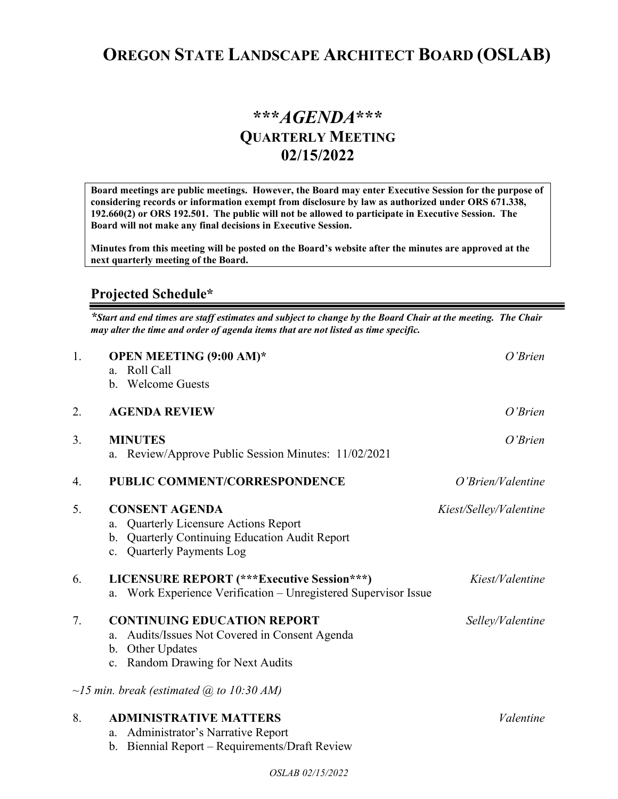## **OREGON STATE LANDSCAPE ARCHITECT BOARD (OSLAB)**

## **\*\*\****AGENDA***\*\*\* QUARTERLY MEETING 02/15/2022**

**Board meetings are public meetings. However, the Board may enter Executive Session for the purpose of considering records or information exempt from disclosure by law as authorized under ORS 671.338, 192.660(2) or ORS 192.501. The public will not be allowed to participate in Executive Session. The Board will not make any final decisions in Executive Session.** 

**Minutes from this meeting will be posted on the Board's website after the minutes are approved at the next quarterly meeting of the Board.**

## **Projected Schedule\***

*\*Start and end times are staff estimates and subject to change by the Board Chair at the meeting. The Chair may alter the time and order of agenda items that are not listed as time specific.* 

| 1. | <b>OPEN MEETING (9:00 AM)*</b><br>Roll Call<br>$a_{\cdot}$<br><b>Welcome Guests</b><br>$\mathbf{b}$ .                                                                         | O'Brien                |
|----|-------------------------------------------------------------------------------------------------------------------------------------------------------------------------------|------------------------|
| 2. | <b>AGENDA REVIEW</b>                                                                                                                                                          | O'Brien                |
| 3. | <b>MINUTES</b><br>a. Review/Approve Public Session Minutes: 11/02/2021                                                                                                        | O'Brien                |
| 4. | PUBLIC COMMENT/CORRESPONDENCE                                                                                                                                                 | O'Brien/Valentine      |
| 5. | <b>CONSENT AGENDA</b><br><b>Quarterly Licensure Actions Report</b><br>a.<br><b>Quarterly Continuing Education Audit Report</b><br>b.<br>c. Quarterly Payments Log             | Kiest/Selley/Valentine |
| 6. | <b>LICENSURE REPORT</b> (***Executive Session***)<br>Work Experience Verification - Unregistered Supervisor Issue<br>a.                                                       | Kiest/Valentine        |
| 7. | <b>CONTINUING EDUCATION REPORT</b><br>Audits/Issues Not Covered in Consent Agenda<br>a.<br><b>Other Updates</b><br>b.<br><b>Random Drawing for Next Audits</b><br>$c_{\cdot}$ | Selley/Valentine       |
|    | $\sim$ 15 min. break (estimated $\omega$ ) to 10:30 AM)                                                                                                                       |                        |
| 8. | <b>ADMINISTRATIVE MATTERS</b><br>Administrator's Narrative Report<br>a.<br>Biennial Report - Requirements/Draft Review<br>b.                                                  | Valentine              |